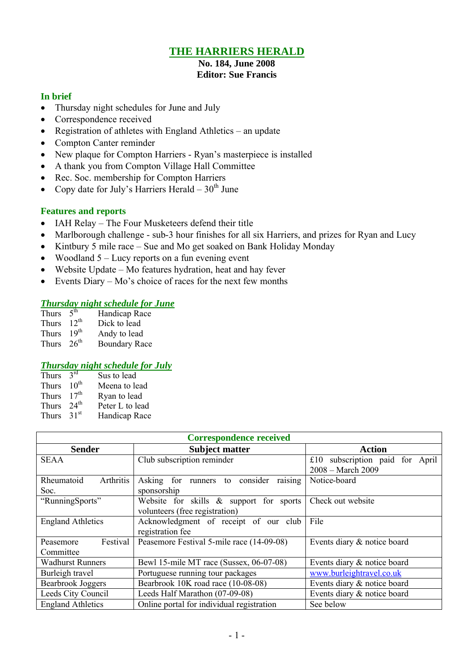# **THE HARRIERS HERALD**

# **No. 184, June 2008**

# **Editor: Sue Francis**

#### **In brief**

- Thursday night schedules for June and July
- Correspondence received
- Registration of athletes with England Athletics an update
- Compton Canter reminder
- New plaque for Compton Harriers Ryan's masterpiece is installed
- A thank you from Compton Village Hall Committee
- Rec. Soc. membership for Compton Harriers
- Copy date for July's Harriers Herald  $30<sup>th</sup>$  June

#### **Features and reports**

- IAH Relay The Four Musketeers defend their title
- Marlborough challenge sub-3 hour finishes for all six Harriers, and prizes for Ryan and Lucy
- Kintbury 5 mile race Sue and Mo get soaked on Bank Holiday Monday
- Woodland  $5 -$  Lucy reports on a fun evening event
- Website Update Mo features hydration, heat and hay fever
- Events Diary Mo's choice of races for the next few months

### *Thursday night schedule for June*

| Thurs        | 5 <sup>th</sup>  | Handicap Race        |
|--------------|------------------|----------------------|
| <b>Thurs</b> | $12^{th}$        | Dick to lead         |
| <b>Thurs</b> | 19 <sup>th</sup> | Andy to lead         |
| <b>Thurs</b> | $26^{th}$        | <b>Boundary Race</b> |

#### *Thursday night schedule for July*

| Thurs        | $2^{\text{rd}}$  | Sus to lead     |
|--------------|------------------|-----------------|
| Thurs        | $10^{\text{th}}$ | Meena to lead   |
| <b>Thurs</b> | 17 <sup>th</sup> | Ryan to lead    |
| Thurs        | 24 <sup>th</sup> | Peter L to lead |
| <b>Thurs</b> | 31 <sup>st</sup> | Handicap Race   |

| <b>Correspondence received</b>                                     |                                              |                                    |  |
|--------------------------------------------------------------------|----------------------------------------------|------------------------------------|--|
| <b>Sender</b>                                                      | <b>Subject matter</b>                        | <b>Action</b>                      |  |
| <b>SEAA</b>                                                        | Club subscription reminder                   | subscription paid for April<br>£10 |  |
|                                                                    |                                              | 2008 - March 2009                  |  |
| Rheumatoid<br>Arthritis                                            | Asking<br>for runners to consider<br>raising | Notice-board                       |  |
| Soc.                                                               | sponsorship                                  |                                    |  |
| "RunningSports"                                                    | Website for skills & support for sports      | Check out website                  |  |
|                                                                    | volunteers (free registration)               |                                    |  |
| <b>England Athletics</b>                                           | Acknowledgment of receipt of our club        | File                               |  |
|                                                                    | registration fee                             |                                    |  |
| Festival<br>Peasemore                                              | Peasemore Festival 5-mile race (14-09-08)    | Events diary & notice board        |  |
| Committee                                                          |                                              |                                    |  |
| <b>Wadhurst Runners</b><br>Bewl 15-mile MT race (Sussex, 06-07-08) |                                              | Events diary & notice board        |  |
| Burleigh travel                                                    | Portuguese running tour packages             | www.burleightravel.co.uk           |  |
| <b>Bearbrook Joggers</b>                                           | Bearbrook 10K road race (10-08-08)           | Events diary & notice board        |  |
| Leeds City Council                                                 | Leeds Half Marathon (07-09-08)               | Events diary & notice board        |  |
| <b>England Athletics</b>                                           | Online portal for individual registration    | See below                          |  |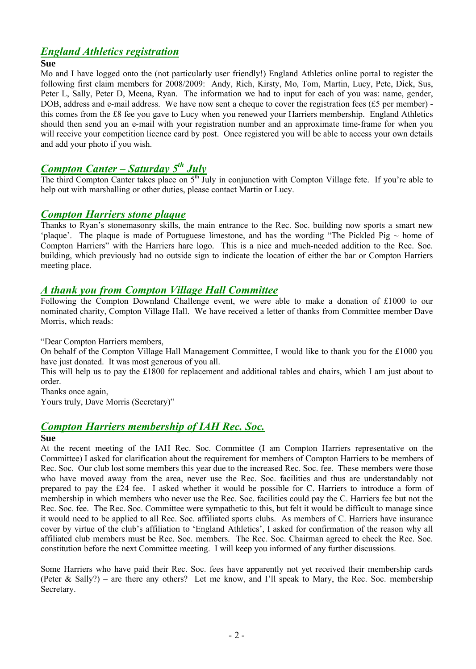# *England Athletics registration*

#### **Sue**

Mo and I have logged onto the (not particularly user friendly!) England Athletics online portal to register the following first claim members for 2008/2009: Andy, Rich, Kirsty, Mo, Tom, Martin, Lucy, Pete, Dick, Sus, Peter L, Sally, Peter D, Meena, Ryan. The information we had to input for each of you was: name, gender, DOB, address and e-mail address. We have now sent a cheque to cover the registration fees  $(f5 \text{ per member})$  this comes from the Ç8 fee you gave to Lucy when you renewed your Harriers membership. England Athletics should then send you an e-mail with your registration number and an approximate time-frame for when you will receive your competition licence card by post. Once registered you will be able to access your own details and add your photo if you wish.

# *Compton Canter – Saturday 5 th July*

The third Compton Canter takes place on 5<sup>th</sup> July in conjunction with Compton Village fete. If you're able to help out with marshalling or other duties, please contact Martin or Lucy.

#### *Compton Harriers stone plaque*

Thanks to Ryan's stonemasonry skills, the main entrance to the Rec. Soc. building now sports a smart new 'plaque'. The plaque is made of Portuguese limestone, and has the wording "The Pickled Pig  $\sim$  home of Compton Harriers" with the Harriers hare logo. This is a nice and much-needed addition to the Rec. Soc. building, which previously had no outside sign to indicate the location of either the bar or Compton Harriers meeting place.

#### *A thank you from Compton Village Hall Committee*

Following the Compton Downland Challenge event, we were able to make a donation of £1000 to our nominated charity, Compton Village Hall. We have received a letter of thanks from Committee member Dave Morris, which reads:

"Dear Compton Harriers members,

On behalf of the Compton Village Hall Management Committee, I would like to thank you for the £1000 you have just donated. It was most generous of you all.

This will help us to pay the Ç1800 for replacement and additional tables and chairs, which I am just about to order.

Thanks once again,

Yours truly, Dave Morris (Secretary)"

### *Compton Harriers membership of IAH Rec. Soc.*

#### **Sue**

At the recent meeting of the IAH Rec. Soc. Committee (I am Compton Harriers representative on the Committee) I asked for clarification about the requirement for members of Compton Harriers to be members of Rec. Soc. Our club lost some members this year due to the increased Rec. Soc. fee. These members were those who have moved away from the area, never use the Rec. Soc. facilities and thus are understandably not prepared to pay the Ç24 fee. I asked whether it would be possible for C. Harriers to introduce a form of membership in which members who never use the Rec. Soc. facilities could pay the C. Harriers fee but not the Rec. Soc. fee. The Rec. Soc. Committee were sympathetic to this, but felt it would be difficult to manage since it would need to be applied to all Rec. Soc. affiliated sports clubs. As members of C. Harriers have insurance cover by virtue of the club's affiliation to 'England Athletics', I asked for confirmation of the reason why all affiliated club members must be Rec. Soc. members. The Rec. Soc. Chairman agreed to check the Rec. Soc. constitution before the next Committee meeting. I will keep you informed of any further discussions.

Some Harriers who have paid their Rec. Soc. fees have apparently not yet received their membership cards (Peter & Sally?) – are there any others? Let me know, and I'll speak to Mary, the Rec. Soc. membership Secretary.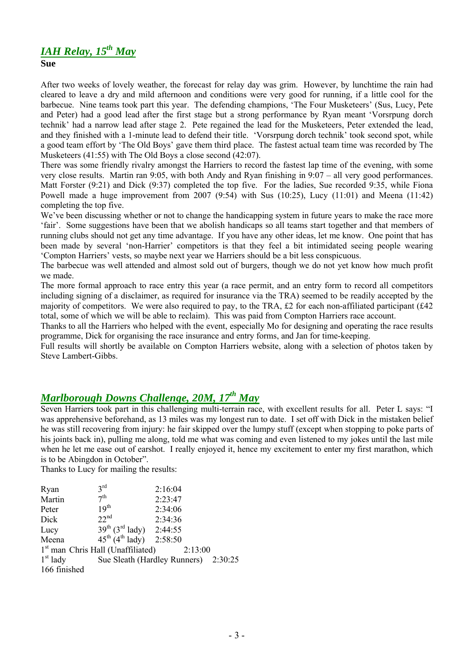# *IAH Relay, 15th May*

**Sue**

After two weeks of lovely weather, the forecast for relay day was grim. However, by lunchtime the rain had cleared to leave a dry and mild afternoon and conditions were very good for running, if a little cool for the barbecue. Nine teams took part this year. The defending champions, 'The Four Musketeers' (Sus, Lucy, Pete and Peter) had a good lead after the first stage but a strong performance by Ryan meant 'Vorsrpung dorch technik' had a narrow lead after stage 2. Pete regained the lead for the Musketeers, Peter extended the lead, and they finished with a 1-minute lead to defend their title. 'Vorsrpung dorch technik' took second spot, while a good team effort by 'The Old Boys' gave them third place. The fastest actual team time was recorded by The Musketeers (41:55) with The Old Boys a close second (42:07).

There was some friendly rivalry amongst the Harriers to record the fastest lap time of the evening, with some very close results. Martin ran 9:05, with both Andy and Ryan finishing in 9:07 – all very good performances. Matt Forster (9:21) and Dick (9:37) completed the top five. For the ladies, Sue recorded 9:35, while Fiona Powell made a huge improvement from 2007 (9:54) with Sus (10:25), Lucy (11:01) and Meena (11:42) completing the top five.

We've been discussing whether or not to change the handicapping system in future years to make the race more 'fair'. Some suggestions have been that we abolish handicaps so all teams start together and that members of running clubs should not get any time advantage. If you have any other ideas, let me know. One point that has been made by several 'non-Harrier' competitors is that they feel a bit intimidated seeing people wearing 'Compton Harriers' vests, so maybe next year we Harriers should be a bit less conspicuous.

The barbecue was well attended and almost sold out of burgers, though we do not yet know how much profit we made.

The more formal approach to race entry this year (a race permit, and an entry form to record all competitors including signing of a disclaimer, as required for insurance via the TRA) seemed to be readily accepted by the majority of competitors. We were also required to pay, to the TRA,  $\pounds 2$  for each non-affiliated participant ( $\pounds 42$ total, some of which we will be able to reclaim). This was paid from Compton Harriers race account.

Thanks to all the Harriers who helped with the event, especially Mo for designing and operating the race results programme, Dick for organising the race insurance and entry forms, and Jan for time-keeping.

Full results will shortly be available on Compton Harriers website, along with a selection of photos taken by Steve Lambert-Gibbs.

# *Marlborough Downs Challenge, 20M, 17th May*

Seven Harriers took part in this challenging multi-terrain race, with excellent results for all. Peter L says: "I was apprehensive beforehand, as 13 miles was my longest run to date. I set off with Dick in the mistaken belief he was still recovering from injury: he fair skipped over the lumpy stuff (except when stopping to poke parts of his joints back in), pulling me along, told me what was coming and even listened to my jokes until the last mile when he let me ease out of earshot. I really enjoyed it, hence my excitement to enter my first marathon, which is to be Abingdon in October".

Thanks to Lucy for mailing the results:

| Ryan         | 3 <sup>rd</sup>                          | 2:16:04                              |  |
|--------------|------------------------------------------|--------------------------------------|--|
| Martin       | 7 <sup>th</sup>                          | 2:23:47                              |  |
| Peter        | 19 <sup>th</sup>                         | 2:34:06                              |  |
| Dick         | 22 <sup>nd</sup>                         | 2:34:36                              |  |
| Lucy         | $39^{th}$ (3 <sup>rd</sup> lady) 2:44:55 |                                      |  |
| Meena        | $45^{th}$ (4 <sup>th</sup> lady) 2:58:50 |                                      |  |
|              | $1st$ man Chris Hall (Unaffiliated)      | 2:13:00                              |  |
| $1st$ lady   |                                          | Sue Sleath (Hardley Runners) 2:30:25 |  |
| 166 finished |                                          |                                      |  |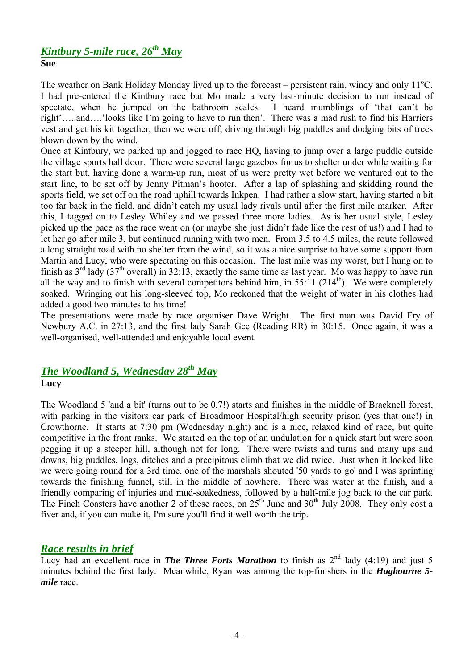#### *Kintbury 5-mile race, 26th May* **Sue**

The weather on Bank Holiday Monday lived up to the forecast – persistent rain, windy and only  $11^{\circ}$ C. I had pre-entered the Kintbury race but Mo made a very last-minute decision to run instead of spectate, when he jumped on the bathroom scales. I heard mumblings of 'that can't be right'…..and….'looks like I'm going to have to run then'. There was a mad rush to find his Harriers vest and get his kit together, then we were off, driving through big puddles and dodging bits of trees blown down by the wind.

Once at Kintbury, we parked up and jogged to race HQ, having to jump over a large puddle outside the village sports hall door. There were several large gazebos for us to shelter under while waiting for the start but, having done a warm-up run, most of us were pretty wet before we ventured out to the start line, to be set off by Jenny Pitman's hooter. After a lap of splashing and skidding round the sports field, we set off on the road uphill towards Inkpen. I had rather a slow start, having started a bit too far back in the field, and didn't catch my usual lady rivals until after the first mile marker. After this, I tagged on to Lesley Whiley and we passed three more ladies. As is her usual style, Lesley picked up the pace as the race went on (or maybe she just didn't fade like the rest of us!) and I had to let her go after mile 3, but continued running with two men. From 3.5 to 4.5 miles, the route followed a long straight road with no shelter from the wind, so it was a nice surprise to have some support from Martin and Lucy, who were spectating on this occasion. The last mile was my worst, but I hung on to finish as  $3^{rd}$  lady (37<sup>th</sup> overall) in 32:13, exactly the same time as last year. Mo was happy to have run all the way and to finish with several competitors behind him, in  $55:11$  ( $214<sup>th</sup>$ ). We were completely soaked. Wringing out his long-sleeved top, Mo reckoned that the weight of water in his clothes had added a good two minutes to his time!

The presentations were made by race organiser Dave Wright. The first man was David Fry of Newbury A.C. in 27:13, and the first lady Sarah Gee (Reading RR) in 30:15. Once again, it was a well-organised, well-attended and enjoyable local event.

# *The Woodland 5, Wednesday 28th May* **Lucy**

The Woodland 5 'and a bit' (turns out to be 0.7!) starts and finishes in the middle of Bracknell forest, with parking in the visitors car park of Broadmoor Hospital/high security prison (yes that one!) in Crowthorne. It starts at 7:30 pm (Wednesday night) and is a nice, relaxed kind of race, but quite competitive in the front ranks. We started on the top of an undulation for a quick start but were soon pegging it up a steeper hill, although not for long. There were twists and turns and many ups and downs, big puddles, logs, ditches and a precipitous climb that we did twice. Just when it looked like we were going round for a 3rd time, one of the marshals shouted '50 yards to go' and I was sprinting towards the finishing funnel, still in the middle of nowhere. There was water at the finish, and a friendly comparing of injuries and mud-soakedness, followed by a half-mile jog back to the car park. The Finch Coasters have another 2 of these races, on  $25<sup>th</sup>$  June and  $30<sup>th</sup>$  July 2008. They only cost a fiver and, if you can make it, I'm sure you'll find it well worth the trip.

### *Race results in brief*

Lucy had an excellent race in **The Three Forts Marathon** to finish as  $2^{nd}$  lady (4:19) and just 5 minutes behind the first lady. Meanwhile, Ryan was among the top-finishers in the *Hagbourne 5 mile* race.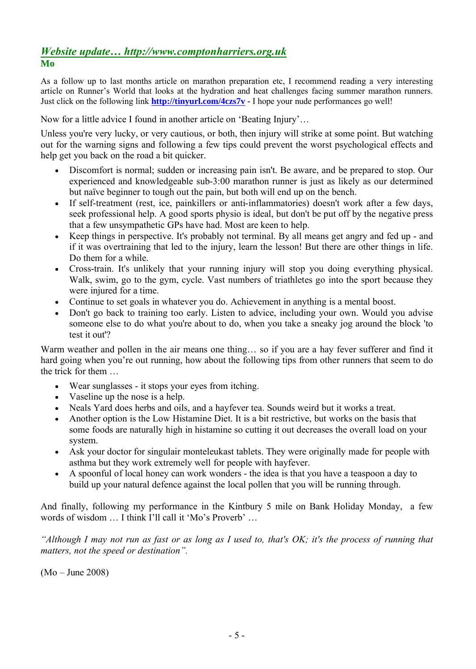#### *Website update… http://www.comptonharriers.org.uk* **Mo**

As a follow up to last months article on marathon preparation etc, I recommend reading a very interesting article on Runner's World that looks at the hydration and heat challenges facing summer marathon runners. Just click on the following link **<http://tinyurl.com/4czs7v> -** I hope your nude performances go well!

Now for a little advice I found in another article on 'Beating Injury'…

Unless you're very lucky, or very cautious, or both, then injury will strike at some point. But watching out for the warning signs and following a few tips could prevent the worst psychological effects and help get you back on the road a bit quicker.

- Discomfort is normal; sudden or increasing pain isn't. Be aware, and be prepared to stop. Our experienced and knowledgeable sub-3:00 marathon runner is just as likely as our determined but naáve beginner to tough out the pain, but both will end up on the bench.
- If self-treatment (rest, ice, painkillers or anti-inflammatories) doesn't work after a few days, seek professional help. A good sports physio is ideal, but don't be put off by the negative press that a few unsympathetic GPs have had. Most are keen to help.
- Keep things in perspective. It's probably not terminal. By all means get angry and fed up and if it was overtraining that led to the injury, learn the lesson! But there are other things in life. Do them for a while.
- Cross-train. It's unlikely that your running injury will stop you doing everything physical. Walk, swim, go to the gym, cycle. Vast numbers of triathletes go into the sport because they were injured for a time.
- Continue to set goals in whatever you do. Achievement in anything is a mental boost.
- Don't go back to training too early. Listen to advice, including your own. Would you advise someone else to do what you're about to do, when you take a sneaky jog around the block 'to test it out'?

Warm weather and pollen in the air means one thing… so if you are a hay fever sufferer and find it hard going when you're out running, how about the following tips from other runners that seem to do the trick for them

- Wear sunglasses it stops your eyes from itching.
- Vaseline up the nose is a help.
- Neals Yard does herbs and oils, and a hayfever tea. Sounds weird but it works a treat.
- Another option is the Low Histamine Diet. It is a bit restrictive, but works on the basis that some foods are naturally high in histamine so cutting it out decreases the overall load on your system.
- Ask your doctor for singulair monteleukast tablets. They were originally made for people with asthma but they work extremely well for people with hayfever.
- A spoonful of local honey can work wonders the idea is that you have a teaspoon a day to build up your natural defence against the local pollen that you will be running through.

And finally, following my performance in the Kintbury 5 mile on Bank Holiday Monday, a few words of wisdom … I think I'll call it 'Mo's Proverb' …

*"Although I may not run as fast or as long as I used to, that's OK; it's the process of running that matters, not the speed or destination".* 

(Mo – June 2008)